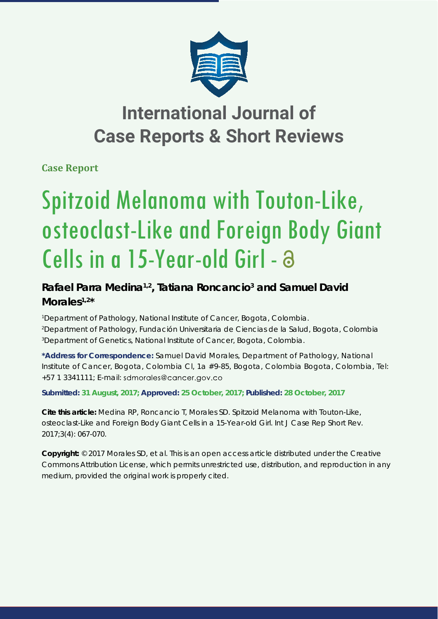

## **International Journal of Case Reports & Short Reviews**

**Case Report**

# Spitzoid Melanoma with Touton-Like, osteoclast-Like and Foreign Body Giant Cells in a 15-Year-old Girl - a

### Rafael Parra Medina<sup>1,2</sup>, Tatiana Roncancio<sup>3</sup> and Samuel David **Morales1,2\***

*1 Department of Pathology, National Institute of Cancer, Bogota, Colombia. 2 Department of Pathology, Fundación Universitaria de Ciencias de la Salud, Bogota, Colombia 3 Department of Genetics, National Institute of Cancer, Bogota, Colombia.*

**\*Address for Correspondence:** Samuel David Morales, Department of Pathology, National Institute of Cancer, Bogota, Colombia Cl, 1a #9-85, Bogota, Colombia Bogota, Colombia, Tel: +57 1 3341111; E-mail:

**Submitted: 31 August, 2017; Approved: 25 October, 2017; Published: 28 October, 2017**

**Cite this article:** Medina RP, Roncancio T, Morales SD. Spitzoid Melanoma with Touton-Like, osteoclast-Like and Foreign Body Giant Cells in a 15-Year-old Girl. Int J Case Rep Short Rev. 2017;3(4): 067-070.

**Copyright:** © 2017 Morales SD, et al. This is an open access article distributed under the Creative Commons Attribution License, which permits unrestricted use, distribution, and reproduction in any medium, provided the original work is properly cited.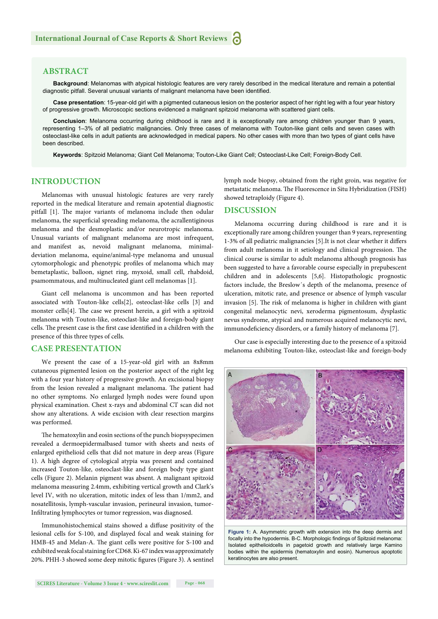#### **ABSTRACT**

**Background**: Melanomas with atypical histologic features are very rarely described in the medical literature and remain a potential diagnostic pitfall. Several unusual variants of malignant melanoma have been identified.

**Case presentation**: 15-year-old girl with a pigmented cutaneous lesion on the posterior aspect of her right leg with a four year history of progressive growth. Microscopic sections evidenced a malignant spitzoid melanoma with scattered giant cells.

**Conclusion**: Melanoma occurring during childhood is rare and it is exceptionally rare among children younger than 9 years, representing 1–3% of all pediatric malignancies. Only three cases of melanoma with Touton-like giant cells and seven cases with osteoclast-like cells in adult patients are acknowledged in medical papers. No other cases with more than two types of giant cells have been described.

**Keywords**: Spitzoid Melanoma; Giant Cell Melanoma; Touton-Like Giant Cell; Osteoclast-Like Cell; Foreign-Body Cell.

#### **INTRODUCTION**

Melanomas with unusual histologic features are very rarely reported in the medical literature and remain apotential diagnostic pitfall [1]. The major variants of melanoma include then odular melanoma, the superficial spreading melanoma, the acrallentiginous melanoma and the desmoplastic and/or neurotropic melanoma. Unusual variants of malignant melanoma are most infrequent, and manifest as, nevoid malignant melanoma, minimaldeviation melanoma, equine/animal-type melanoma and unusual cytomorphologic and phenotypic profiles of melanoma which may bemetaplastic, balloon, signet ring, myxoid, small cell, rhabdoid, psamommatous, and multinucleated giant cell melanomas [1].

Giant cell melanoma is uncommon and has been reported associated with Touton-like cells[2], osteoclast-like cells [3] and monster cells[4]. The case we present herein, a girl with a spitzoid melanoma with Touton-like, osteoclast-like and foreign-body giant cells. The present case is the first case identified in a children with the presence of this three types of cells.

#### **CASE PRESENTATION**

We present the case of a 15-year-old girl with an 8x8mm cutaneous pigmented lesion on the posterior aspect of the right leg with a four year history of progressive growth. An excisional biopsy from the lesion revealed a malignant melanoma. The patient had no other symptoms. No enlarged lymph nodes were found upon physical examination. Chest x-rays and abdominal CT scan did not show any alterations. A wide excision with clear resection margins was performed.

The hematoxylin and eosin sections of the punch biopsyspecimen revealed a dermoepidermalbased tumor with sheets and nests of enlarged epithelioid cells that did not mature in deep areas (Figure 1). A high degree of cytological atypia was present and contained increased Touton-like, osteoclast-like and foreign body type giant cells (Figure 2). Melanin pigment was absent. A malignant spitzoid melanoma measuring 2.4mm, exhibiting vertical growth and Clark's level IV, with no ulceration, mitotic index of less than 1/mm2, and nosatellitosis, lymph-vascular invasion, perineural invasion, tumor-Infiltrating lymphocytes or tumor regression, was diagnosed.

Immunohistochemical stains showed a diffuse positivity of the lesional cells for S-100, and displayed focal and weak staining for HMB-45 and Melan-A. The giant cells were positive for S-100 and exhibited weak focal staining for CD68. Ki-67 index was approximately 20%. PHH-3 showed some deep mitotic figures (Figure 3). A sentinel lymph node biopsy, obtained from the right groin, was negative for metastatic melanoma. The Fluorescence in Situ Hybridization (FISH) showed tetraploidy (Figure 4).

#### **DISCUSSION**

Melanoma occurring during childhood is rare and it is exceptionally rare among children younger than 9 years, representing 1-3% of all pediatric malignancies [5]. It is not clear whether it differs from adult melanoma in it setiology and clinical progression. The clinical course is similar to adult melanoma although prognosis has been suggested to have a favorable course especially in prepubescent children and in adolescents [5,6]. Histopathologic prognostic factors include, the Breslow´s depth of the melanoma, presence of ulceration, mitotic rate, and presence or absence of lymph vascular invasion [5]. The risk of melanoma is higher in children with giant congenital melanocytic nevi, xeroderma pigmentosum, dysplastic nevus syndrome, atypical and numerous acquired melanocytic nevi, immunodeficiency disorders, or a family history of melanoma [7].

Our case is especially interesting due to the presence of a spitzoid melanoma exhibiting Touton-like, osteoclast-like and foreign-body



**Figure 1:** A. Asymmetric growth with extension into the deep dermis and focally into the hypodermis. B-C. Morphologic findings of Spitzoid melanoma: Isolated epithelioidcells in pagetoid growth and relatively large Kamino bodies within the epidermis (hematoxylin and eosin). Numerous apoptotic keratinocytes are also present.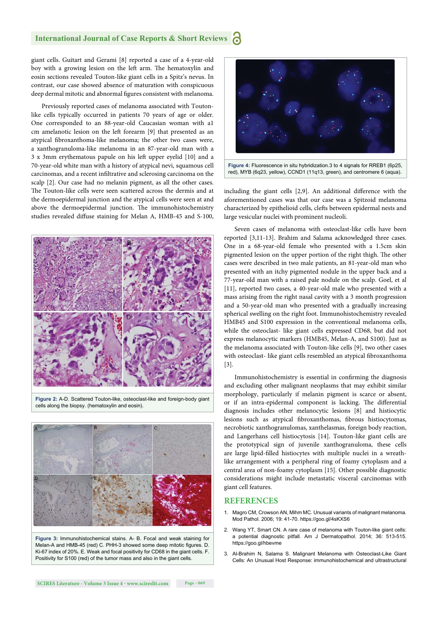#### **International Journal of Case Reports & Short Reviews**

giant cells. Guitart and Gerami [8] reported a case of a 4-year-old boy with a growing lesion on the left arm. The hematoxylin and eosin sections revealed Touton-like giant cells in a Spitz's nevus. In contrast, our case showed absence of maturation with conspicuous deep dermal mitotic and abnormal figures consistent with melanoma.

Previously reported cases of melanoma associated with Toutonlike cells typically occurred in patients 70 years of age or older. One corresponded to an 88-year-old Caucasian woman with a1 cm amelanotic lesion on the left forearm [9] that presented as an atypical fibroxanthoma-like melanoma; the other two cases were, a xanthogranuloma-like melanoma in an 87-year-old man with a 3 x 3mm erythematous papule on his left upper eyelid [10] and a 70-year-old white man with a history of atypical nevi, squamous cell carcinomas, and a recent infiltrative and sclerosing carcinoma on the scalp [2]. Our case had no melanin pigment, as all the other cases. The Touton-like cells were seen scattered across the dermis and at the dermoepidermal junction and the atypical cells were seen at and above the dermoepidermal junction. The immunohistochemistry studies revealed diffuse staining for Melan A, HMB-45 and S-100,



**Figure 2:** A-D. Scattered Touton-like, osteoclast-like and foreign-body giant cells along the biopsy. (hematoxylin and eosin).



**Figure 3:** Immunohistochemical stains. A- B. Focal and weak staining for Melan-A and HMB-45 (red) C. PHH-3 showed some deep mitotic figures. D. Ki-67 index of 20%. E. Weak and focal positivity for CD68 in the giant cells. F. Positivity for S100 (red) of the tumor mass and also in the giant cells.



**Figure 4:** Fluorescence in situ hybridization.3 to 4 signals for RREB1 (6p25, red), MYB (6q23, yellow), CCND1 (11q13, green), and centromere 6 (aqua).

including the giant cells  $[2,9]$ . An additional difference with the aforementioned cases was that our case was a Spitzoid melanoma characterized by epithelioid cells, clefts between epidermal nests and large vesicular nuclei with prominent nucleoli.

Seven cases of melanoma with osteoclast-like cells have been reported [3,11-13]. Brahim and Salama acknowledged three cases. One in a 68-year-old female who presented with a 1.5cm skin pigmented lesion on the upper portion of the right thigh. The other cases were described in two male patients, an 81-year-old man who presented with an itchy pigmented nodule in the upper back and a 77-year-old man with a raised pale nodule on the scalp. Goel, et al [11], reported two cases, a 40-year-old male who presented with a mass arising from the right nasal cavity with a 3 month progression and a 50-year-old man who presented with a gradually increasing spherical swelling on the right foot. Immunohistochemistry revealed HMB45 and S100 expression in the conventional melanoma cells, while the osteoclast- like giant cells expressed CD68, but did not express melanocytic markers (HMB45, Melan-A, and S100). Just as the melanoma associated with Touton-like cells [9], two other cases with osteoclast- like giant cells resembled an atypical fibroxanthoma [3].

Immunohistochemistry is essential in confirming the diagnosis and excluding other malignant neoplasms that may exhibit similar morphology, particularly if melanin pigment is scarce or absent, or if an intra-epidermal component is lacking. The differential diagnosis includes other melanocytic lesions [8] and histiocytic lesions such as atypical fibroxanthomas, fibrous histiocytomas, necrobiotic xanthogranulomas, xanthelasmas, foreign body reaction, and Langerhans cell histiocytosis [14]. Touton-like giant cells are the prototypical sign of juvenile xanthogranuloma, these cells are large lipid-filled histiocytes with multiple nuclei in a wreathlike arrangement with a peripheral ring of foamy cytoplasm and a central area of non-foamy cytoplasm [15]. Other possible diagnostic considerations might include metastatic visceral carcinomas with giant cell features.

#### **REFERENCES**

- 1. Magro CM, Crowson AN, Mihm MC. Unusual variants of malignant melanoma. Mod Pathol. 2006; 19: 41-70. https://goo.gl/4sKXS6
- 2. Wang YT, Smart CN. A rare case of melanoma with Touton-like giant cells: a potential diagnostic pitfall. Am J Dermatopathol. 2014; 36: 513-515. https://goo.gl/hbevme
- 3. Al-Brahim N, Salama S. Malignant Melanoma with Osteoclast-Like Giant Cells: An Unusual Host Response: immunohistochemical and ultrastructural